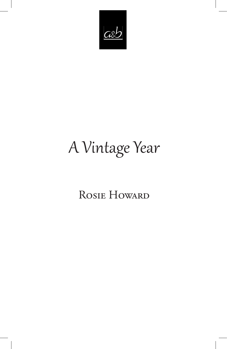

## A Vintage Year

Rosie Howard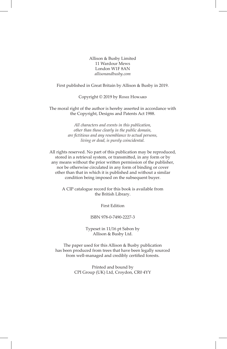Allison & Busby Limited 11 Wardour Mews London W1F 8AN *allisonandbusby.com*

First published in Great Britain by Allison & Busby in 2019.

Copyright © 2019 by Rosie Howard

The moral right of the author is hereby asserted in accordance with the Copyright, Designs and Patents Act 1988.

> *All characters and events in this publication, other than those clearly in the public domain, are fictitious and any resemblance to actual persons, living or dead, is purely coincidental.*

All rights reserved. No part of this publication may be reproduced, stored in a retrieval system, or transmitted, in any form or by any means without the prior written permission of the publisher, nor be otherwise circulated in any form of binding or cover other than that in which it is published and without a similar condition being imposed on the subsequent buyer.

> A CIP catalogue record for this book is available from the British Library.

> > First Edition

## ISBN 978-0-7490-2227-3

Typeset in 11/16 pt Sabon by Allison & Busby Ltd.

The paper used for this Allison & Busby publication has been produced from trees that have been legally sourced from well-managed and credibly certified forests.

> Printed and bound by CPI Group (UK) Ltd, Croydon, CR0 4YY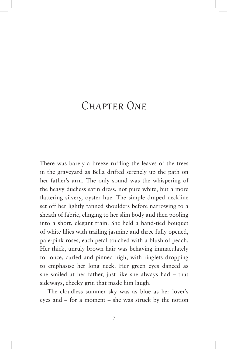## CHAPTER ONE

There was barely a breeze ruffling the leaves of the trees in the graveyard as Bella drifted serenely up the path on her father's arm. The only sound was the whispering of the heavy duchess satin dress, not pure white, but a more flattering silvery, oyster hue. The simple draped neckline set off her lightly tanned shoulders before narrowing to a sheath of fabric, clinging to her slim body and then pooling into a short, elegant train. She held a hand-tied bouquet of white lilies with trailing jasmine and three fully opened, pale-pink roses, each petal touched with a blush of peach. Her thick, unruly brown hair was behaving immaculately for once, curled and pinned high, with ringlets dropping to emphasise her long neck. Her green eyes danced as she smiled at her father, just like she always had – that sideways, cheeky grin that made him laugh.

The cloudless summer sky was as blue as her lover's eyes and – for a moment – she was struck by the notion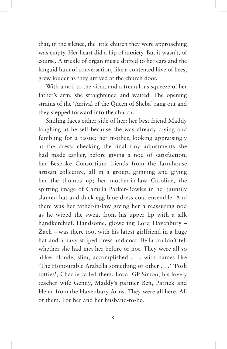that, in the silence, the little church they were approaching was empty. Her heart did a flip of anxiety. But it wasn't, of course. A trickle of organ music drifted to her ears and the languid hum of conversation, like a contented hive of bees, grew louder as they arrived at the church door.

With a nod to the vicar, and a tremulous squeeze of her father's arm, she straightened and waited. The opening strains of the 'Arrival of the Queen of Sheba' rang out and they stepped forward into the church.

Smiling faces either side of her: her best friend Maddy laughing at herself because she was already crying and fumbling for a tissue; her mother, looking appraisingly at the dress, checking the final tiny adjustments she had made earlier, before giving a nod of satisfaction; her Bespoke Consortium friends from the farmhouse artisan collective, all in a group, grinning and giving her the thumbs up; her mother-in-law Caroline, the spitting image of Camilla Parker-Bowles in her jauntily slanted hat and duck-egg blue dress-coat ensemble. And there was her father-in-law giving her a reassuring nod as he wiped the sweat from his upper lip with a silk handkerchief. Handsome, glowering Lord Havenbury – Zach – was there too, with his latest girlfriend in a huge hat and a navy striped dress and coat. Bella couldn't tell whether she had met her before or not. They were all so alike: blonde, slim, accomplished . . . with names like 'The Honourable Arabella something or other . . .' 'Posh totties', Charlie called them. Local GP Simon, his lovely teacher wife Genny, Maddy's partner Ben, Patrick and Helen from the Havenbury Arms. They were all here. All of them. For her and her husband-to-be.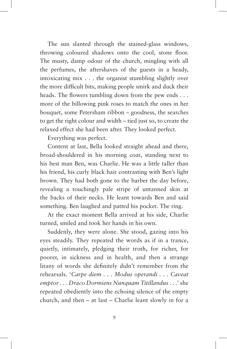The sun slanted through the stained-glass windows, throwing coloured shadows onto the cool, stone floor. The musty, damp odour of the church, mingling with all the perfumes, the aftershaves of the guests in a heady, intoxicating mix . . . the organist stumbling slightly over the more difficult bits, making people smirk and duck their heads. The flowers tumbling down from the pew ends . . . more of the billowing pink roses to match the ones in her bouquet, some Petersham ribbon – goodness, the searches to get the right colour and width – tied just so, to create the relaxed effect she had been after. They looked perfect.

Everything was perfect.

Content at last, Bella looked straight ahead and there, broad-shouldered in his morning coat, standing next to his best man Ben, was Charlie. He was a little taller than his friend, his curly black hair contrasting with Ben's light brown. They had both gone to the barber the day before, revealing a touchingly pale stripe of untanned skin at the backs of their necks. He leant towards Ben and said something. Ben laughed and patted his pocket. The ring.

At the exact moment Bella arrived at his side, Charlie turned, smiled and took her hands in his own.

Suddenly, they were alone. She stood, gazing into his eyes steadily. They repeated the words as if in a trance, quietly, intimately, pledging their troth, for richer, for poorer, in sickness and in health, and then a strange litany of words she definitely didn't remember from the rehearsals. '*Carpe diem . . . Modus operandi . . . Caveat emptor . . . Draco Dormiens Nunquam Titillandus* . *. .*' she repeated obediently into the echoing silence of the empty church, and then – at last – Charlie leant slowly in for a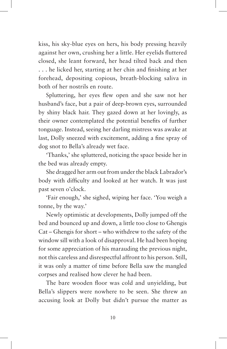kiss, his sky-blue eyes on hers, his body pressing heavily against her own, crushing her a little. Her eyelids fluttered closed, she leant forward, her head tilted back and then . . . he licked her, starting at her chin and finishing at her forehead, depositing copious, breath-blocking saliva in both of her nostrils en route.

Spluttering, her eyes flew open and she saw not her husband's face, but a pair of deep-brown eyes, surrounded by shiny black hair. They gazed down at her lovingly, as their owner contemplated the potential benefits of further tonguage. Instead, seeing her darling mistress was awake at last, Dolly sneezed with excitement, adding a fine spray of dog snot to Bella's already wet face.

'Thanks,' she spluttered, noticing the space beside her in the bed was already empty.

She dragged her arm out from under the black Labrador's body with difficulty and looked at her watch. It was just past seven o'clock.

'Fair enough,' she sighed, wiping her face. 'You weigh a tonne, by the way.'

Newly optimistic at developments, Dolly jumped off the bed and bounced up and down, a little too close to Ghengis Cat – Ghengis for short – who withdrew to the safety of the window sill with a look of disapproval. He had been hoping for some appreciation of his marauding the previous night, not this careless and disrespectful affront to his person. Still, it was only a matter of time before Bella saw the mangled corpses and realised how clever he had been.

The bare wooden floor was cold and unyielding, but Bella's slippers were nowhere to be seen. She threw an accusing look at Dolly but didn't pursue the matter as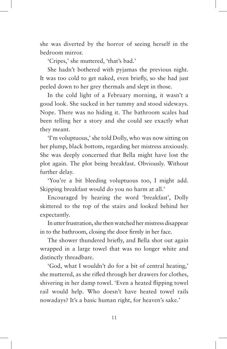she was diverted by the horror of seeing herself in the bedroom mirror.

'Cripes,' she muttered, 'that's bad.'

She hadn't bothered with pyjamas the previous night. It was too cold to get naked, even briefly, so she had just peeled down to her grey thermals and slept in those.

In the cold light of a February morning, it wasn't a good look. She sucked in her tummy and stood sideways. Nope. There was no hiding it. The bathroom scales had been telling her a story and she could see exactly what they meant.

'I'm voluptuous,' she told Dolly, who was now sitting on her plump, black bottom, regarding her mistress anxiously. She was deeply concerned that Bella might have lost the plot again. The plot being breakfast. Obviously. Without further delay.

'You're a bit bleeding voluptuous too, I might add. Skipping breakfast would do you no harm at all.'

Encouraged by hearing the word 'breakfast', Dolly skittered to the top of the stairs and looked behind her expectantly.

In utter frustration, she then watched her mistress disappear in to the bathroom, closing the door firmly in her face.

The shower thundered briefly, and Bella shot out again wrapped in a large towel that was no longer white and distinctly threadbare.

'God, what I wouldn't do for a bit of central heating,' she muttered, as she rifled through her drawers for clothes, shivering in her damp towel. 'Even a heated flipping towel rail would help. Who doesn't have heated towel rails nowadays? It's a basic human right, for heaven's sake.'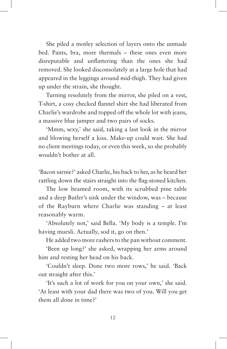She piled a motley selection of layers onto the unmade bed. Pants, bra, more thermals – these ones even more disreputable and unflattering than the ones she had removed. She looked disconsolately at a large hole that had appeared in the leggings around mid-thigh. They had given up under the strain, she thought.

Turning resolutely from the mirror, she piled on a vest, T-shirt, a cosy checked flannel shirt she had liberated from Charlie's wardrobe and topped off the whole lot with jeans, a massive blue jumper and two pairs of socks.

'Mmm, sexy,' she said, taking a last look in the mirror and blowing herself a kiss. Make-up could wait. She had no client meetings today, or even this week, so she probably wouldn't bother at all.

'Bacon sarnie?' asked Charlie, his back to her, as he heard her rattling down the stairs straight into the flag-stoned kitchen.

The low beamed room, with its scrubbed pine table and a deep Butler's sink under the window, was – because of the Rayburn where Charlie was standing – at least reasonably warm.

'Absolutely not,' said Bella. 'My body is a temple. I'm having muesli. Actually, sod it, go on then.'

He added two more rashers to the pan without comment.

'Been up long?' she asked, wrapping her arms around him and resting her head on his back.

'Couldn't sleep. Done two more rows,' he said. 'Back out straight after this.'

'It's such a lot of work for you on your own,' she said. 'At least with your dad there was two of you. Will you get them all done in time?'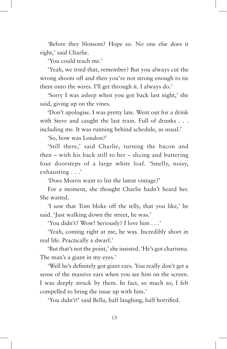'Before they blossom? Hope so. No one else does it right,' said Charlie.

'You could teach me.'

'Yeah, we tried that, remember? But you always cut the wrong shoots off and then you're not strong enough to tie them onto the wires. I'll get through it. I always do.'

'Sorry I was asleep when you got back last night,' she said, giving up on the vines.

'Don't apologise. I was pretty late. Went out for a drink with Steve and caught the last train. Full of drunks . . . including me. It was running behind schedule, as usual.'

'So, how was London?'

'Still there,' said Charlie, turning the bacon and then – with his back still to her – slicing and buttering four doorsteps of a large white loaf. 'Smelly, noisy, exhausting . . .'

'Does Morris want to list the latest vintage?'

For a moment, she thought Charlie hadn't heard her. She waited.

'I saw that Tom bloke off the telly, that you like,' he said. 'Just walking down the street, he was.'

'You didn't? Wow! Seriously? I love him . . .'

'Yeah, coming right at me, he was. Incredibly short in real life. Practically a dwarf.'

'But that's not the point,' she insisted. 'He's got charisma. The man's a giant in my eyes.'

'Well he's definitely got giant ears. You really don't get a sense of the massive ears when you see him on the screen. I was deeply struck by them. In fact, so much so, I felt compelled to bring the issue up with him.'

'You didn't!' said Bella, half laughing, half horrified.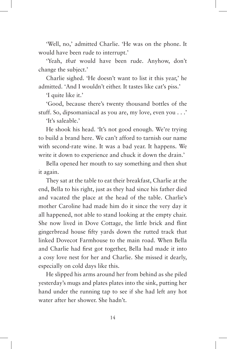'Well, no,' admitted Charlie. 'He was on the phone. It would have been rude to interrupt.'

'Yeah, *that* would have been rude. Anyhow, don't change the subject.'

Charlie sighed. 'He doesn't want to list it this year,' he admitted. 'And I wouldn't either. It tastes like cat's piss.'

'I quite like it.'

'Good, because there's twenty thousand bottles of the stuff. So, dipsomaniacal as you are, my love, even you . . .'

'It's saleable.'

He shook his head. 'It's not good enough. We're trying to build a brand here. We can't afford to tarnish our name with second-rate wine. It was a bad year. It happens. We write it down to experience and chuck it down the drain.'

Bella opened her mouth to say something and then shut it again.

They sat at the table to eat their breakfast, Charlie at the end, Bella to his right, just as they had since his father died and vacated the place at the head of the table. Charlie's mother Caroline had made him do it since the very day it all happened, not able to stand looking at the empty chair. She now lived in Dove Cottage, the little brick and flint gingerbread house fifty yards down the rutted track that linked Dovecot Farmhouse to the main road. When Bella and Charlie had first got together, Bella had made it into a cosy love nest for her and Charlie. She missed it dearly, especially on cold days like this.

He slipped his arms around her from behind as she piled yesterday's mugs and plates plates into the sink, putting her hand under the running tap to see if she had left any hot water after her shower. She hadn't.